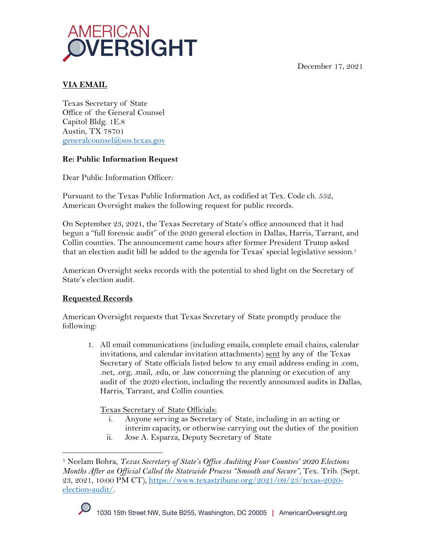December 17, 2021



# **VIA EMAIL**

Texas Secretary of State Office of the General Counsel Capitol Bldg. 1E.8 Austin, TX 78701 generalcounsel@sos.texas.gov

## **Re: Public Information Request**

Dear Public Information Officer:

Pursuant to the Texas Public Information Act, as codified at Tex. Code ch. 552, American Oversight makes the following request for public records.

On September 23, 2021, the Texas Secretary of State's office announced that it had begun a "full forensic audit" of the 2020 general election in Dallas, Harris, Tarrant, and Collin counties. The announcement came hours after former President Trump asked that an election audit bill be added to the agenda for Texas' special legislative session.<sup>1</sup>

American Oversight seeks records with the potential to shed light on the Secretary of State's election audit.

# **Requested Records**

American Oversight requests that Texas Secretary of State promptly produce the following:

1. All email communications (including emails, complete email chains, calendar invitations, and calendar invitation attachments) sent by any of the Texas Secretary of State officials listed below to any email address ending in .com, .net, .org, .mail, .edu, or .law concerning the planning or execution of any audit of the 2020 election, including the recently announced audits in Dallas, Harris, Tarrant, and Collin counties.

Texas Secretary of State Officials:

- i. Anyone serving as Secretary of State, including in an acting or interim capacity, or otherwise carrying out the duties of the position
- ii. Jose A. Esparza, Deputy Secretary of State

<sup>&</sup>lt;sup>1</sup> Neelam Bohra, *Texas Secretary of State's Office Auditing Four Counties' 2020 Elections Months After an Official Called the Statewide Process "Smooth and Secure",* Tex. Trib. (Sept. 23, 2021, 10:00 PM CT), https://www.texastribune.org/2021/09/23/texas-2020 election-audit/.

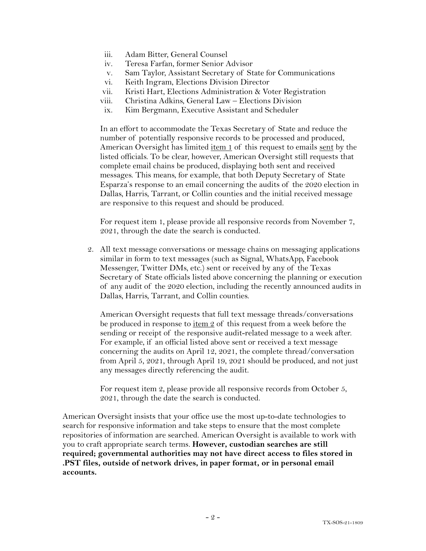- iii. Adam Bitter, General Counsel
- iv. Teresa Farfan, former Senior Advisor
- v. Sam Taylor, Assistant Secretary of State for Communications
- vi. Keith Ingram, Elections Division Director
- vii. Kristi Hart, Elections Administration & Voter Registration
- viii. Christina Adkins, General Law Elections Division
- ix. Kim Bergmann, Executive Assistant and Scheduler

In an effort to accommodate the Texas Secretary of State and reduce the number of potentially responsive records to be processed and produced, American Oversight has limited item 1 of this request to emails sent by the listed officials. To be clear, however, American Oversight still requests that complete email chains be produced, displaying both sent and received messages. This means, for example, that both Deputy Secretary of State Esparza's response to an email concerning the audits of the 2020 election in Dallas, Harris, Tarrant, or Collin counties and the initial received message are responsive to this request and should be produced.

For request item 1, please provide all responsive records from November 7, 2021, through the date the search is conducted.

2. All text message conversations or message chains on messaging applications similar in form to text messages (such as Signal, WhatsApp, Facebook Messenger, Twitter DMs, etc.) sent or received by any of the Texas Secretary of State officials listed above concerning the planning or execution of any audit of the 2020 election, including the recently announced audits in Dallas, Harris, Tarrant, and Collin counties.

American Oversight requests that full text message threads/conversations be produced in response to  $\underline{\text{item 2}}$  of this request from a week before the sending or receipt of the responsive audit-related message to a week after. For example, if an official listed above sent or received a text message concerning the audits on April 12, 2021, the complete thread/conversation from April 5, 2021, through April 19, 2021 should be produced, and not just any messages directly referencing the audit.

For request item 2, please provide all responsive records from October 5, 2021, through the date the search is conducted.

American Oversight insists that your office use the most up-to-date technologies to search for responsive information and take steps to ensure that the most complete repositories of information are searched. American Oversight is available to work with you to craft appropriate search terms. **However, custodian searches are still required; governmental authorities may not have direct access to files stored in .PST files, outside of network drives, in paper format, or in personal email accounts.**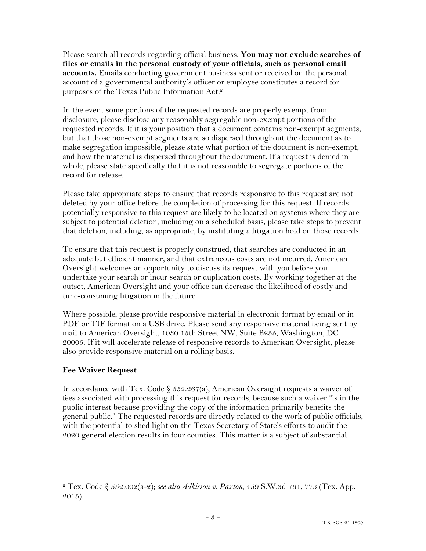Please search all records regarding official business. **You may not exclude searches of files or emails in the personal custody of your officials, such as personal email accounts.** Emails conducting government business sent or received on the personal account of a governmental authority's officer or employee constitutes a record for purposes of the Texas Public Information Act.2

In the event some portions of the requested records are properly exempt from disclosure, please disclose any reasonably segregable non-exempt portions of the requested records. If it is your position that a document contains non-exempt segments, but that those non-exempt segments are so dispersed throughout the document as to make segregation impossible, please state what portion of the document is non-exempt, and how the material is dispersed throughout the document. If a request is denied in whole, please state specifically that it is not reasonable to segregate portions of the record for release.

Please take appropriate steps to ensure that records responsive to this request are not deleted by your office before the completion of processing for this request. If records potentially responsive to this request are likely to be located on systems where they are subject to potential deletion, including on a scheduled basis, please take steps to prevent that deletion, including, as appropriate, by instituting a litigation hold on those records.

To ensure that this request is properly construed, that searches are conducted in an adequate but efficient manner, and that extraneous costs are not incurred, American Oversight welcomes an opportunity to discuss its request with you before you undertake your search or incur search or duplication costs. By working together at the outset, American Oversight and your office can decrease the likelihood of costly and time-consuming litigation in the future.

Where possible, please provide responsive material in electronic format by email or in PDF or TIF format on a USB drive. Please send any responsive material being sent by mail to American Oversight, 1030 15th Street NW, Suite B255, Washington, DC 20005. If it will accelerate release of responsive records to American Oversight, please also provide responsive material on a rolling basis.

### **Fee Waiver Request**

In accordance with Tex. Code § 552.267(a), American Oversight requests a waiver of fees associated with processing this request for records, because such a waiver "is in the public interest because providing the copy of the information primarily benefits the general public." The requested records are directly related to the work of public officials, with the potential to shed light on the Texas Secretary of State's efforts to audit the 2020 general election results in four counties. This matter is a subject of substantial

<sup>2</sup> Tex. Code § 552.002(a-2); *see also Adkisson v. Paxton*, 459 S.W.3d 761, 773 (Tex. App. 2015).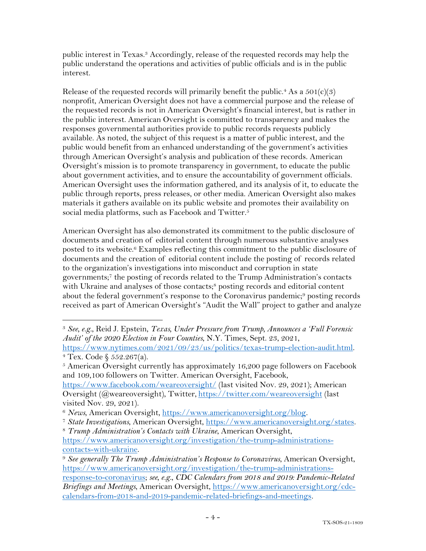public interest in Texas.3 Accordingly, release of the requested records may help the public understand the operations and activities of public officials and is in the public interest.

Release of the requested records will primarily benefit the public.<sup>4</sup> As a  $501(c)(3)$ nonprofit, American Oversight does not have a commercial purpose and the release of the requested records is not in American Oversight's financial interest, but is rather in the public interest. American Oversight is committed to transparency and makes the responses governmental authorities provide to public records requests publicly available. As noted, the subject of this request is a matter of public interest, and the public would benefit from an enhanced understanding of the government's activities through American Oversight's analysis and publication of these records. American Oversight's mission is to promote transparency in government, to educate the public about government activities, and to ensure the accountability of government officials. American Oversight uses the information gathered, and its analysis of it, to educate the public through reports, press releases, or other media. American Oversight also makes materials it gathers available on its public website and promotes their availability on social media platforms, such as Facebook and Twitter.<sup>5</sup>

American Oversight has also demonstrated its commitment to the public disclosure of documents and creation of editorial content through numerous substantive analyses posted to its website.6 Examples reflecting this commitment to the public disclosure of documents and the creation of editorial content include the posting of records related to the organization's investigations into misconduct and corruption in state governments; <sup>7</sup> the posting of records related to the Trump Administration's contacts with Ukraine and analyses of those contacts;<sup>8</sup> posting records and editorial content about the federal government's response to the Coronavirus pandemic;<sup>9</sup> posting records received as part of American Oversight's "Audit the Wall" project to gather and analyze

<sup>5</sup> American Oversight currently has approximately 16,200 page followers on Facebook and 109,100 followers on Twitter. American Oversight, Facebook,

https://www.facebook.com/weareoversight/ (last visited Nov. 29, 2021); American Oversight (@weareoversight), Twitter, https://twitter.com/weareoversight (last visited Nov. 29, 2021).

calendars-from-2018-and-2019-pandemic-related-briefings-and-meetings.

<sup>3</sup> *See, e.g.*, Reid J. Epstein, *Texas, Under Pressure from Trump, Announces a 'Full Forensic Audit' of the 2020 Election in Four Counties*, N.Y. Times, Sept. 23, 2021, https://www.nytimes.com/2021/09/23/us/politics/texas-trump-election-audit.html.

 $4$  Tex. Code  $$ 552.267(a)$ .

<sup>&</sup>lt;sup>6</sup> News, American Oversight, https://www.americanoversight.org/blog.<br><sup>7</sup> State Investigations, American Oversight, https://www.americanoversight.org/states.<br><sup>8</sup> Trump Administration's Contacts with Ukraine, American Overs

https://www.americanoversight.org/investigation/the-trump-administrationscontacts-with-ukraine.

<sup>9</sup> *See generally The Trump Administration's Response to Coronavirus*, American Oversight, https://www.americanoversight.org/investigation/the-trump-administrationsresponse-to-coronavirus; *see, e.g.*, *CDC Calendars from 2018 and 2019: Pandemic-Related Briefings and Meetings*, American Oversight, https://www.americanoversight.org/cdc-